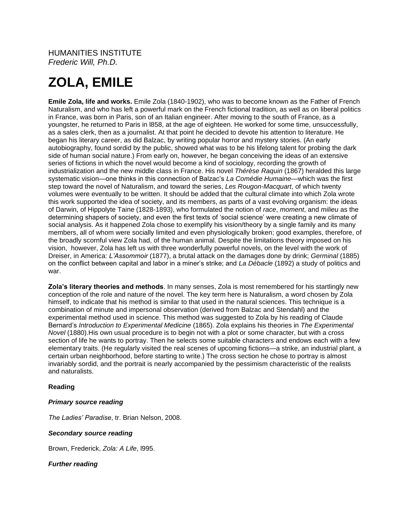## HUMANITIES INSTITUTE *Frederic Will, Ph.D.*

# **ZOLA, EMILE**

**Emile Zola, life and works.** Emile Zola (1840-1902), who was to become known as the Father of French Naturalism, and who has left a powerful mark on the French fictional tradition, as well as on liberal politics in France, was born in Paris, son of an Italian engineer. After moving to the south of France, as a youngster, he returned to Paris in l858, at the age of eighteen. He worked for some time, unsuccessfully, as a sales clerk, then as a journalist. At that point he decided to devote his attention to literature. He began his literary career, as did Balzac, by writing popular horror and mystery stories. (An early autobiography, found sordid by the public, showed what was to be his lifelong talent for probing the dark side of human social nature.) From early on, however, he began conceiving the ideas of an extensive series of fictions in which the novel would become a kind of sociology, recording the growth of industrialization and the new middle class in France. His novel *Thérèse Raquin* (1867) heralded this large systematic vision—one thinks in this connection of Balzac's *La Comédie Humaine*—which was the first step toward the novel of Naturalism, and toward the series, *Les Rougon-Macquart*, of which twenty volumes were eventually to be written. It should be added that the cultural climate into which Zola wrote this work supported the idea of society, and its members, as parts of a vast evolving organism: the ideas of Darwin, of Hippolyte Taine (1828-1893), who formulated the notion of *race*, *moment*, and *milieu* as the determining shapers of society, and even the first texts of 'social science' were creating a new climate of social analysis. As it happened Zola chose to exemplify his vision/theory by a single family and its many members, all of whom were socially limited and even physiologically broken; good examples, therefore, of the broadly scornful view Zola had, of the human animal. Despite the limitations theory imposed on his vision, however, Zola has left us with three wonderfully powerful novels, on the level with the work of Dreiser, in America: *L'Assommoir* (1877), a brutal attack on the damages done by drink; *Germinal* (1885) on the conflict between capital and labor in a miner's strike; and *La Débacle* (1892) a study of politics and war.

**Zola's literary theories and methods**. In many senses, Zola is most remembered for his startlingly new conception of the role and nature of the novel. The key term here is Naturalism, a word chosen by Zola himself, to indicate that his method is similar to that used in the natural sciences. This technique is a combination of minute and impersonal observation (derived from Balzac and Stendahl) and the experimental method used in science. This method was suggested to Zola by his reading of Claude Bernard's *Introduction to Experimental Medicine* (1865). Zola explains his theories in *The Experimental Novel* (1880).His own usual procedure is to begin not with a plot or some character, but with a cross section of life he wants to portray. Then he selects some suitable characters and endows each with a few elementary traits. (He regularly visited the real scenes of upcoming fictions—a strike, an industrial plant, a certain urban neighborhood, before starting to write.) The cross section he chose to portray is almost invariably sordid, and the portrait is nearly accompanied by the pessimism characteristic of the realists and naturalists.

### **Reading**

#### *Primary source reading*

*The Ladies' Paradise*, tr. Brian Nelson, 2008.

#### *Secondary source reading*

Brown, Frederick, *Zola: A Life*, l995.

*Further reading*